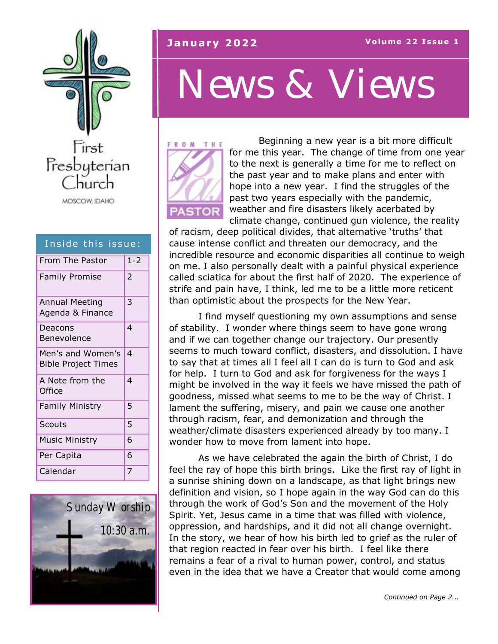

| Inside this issue:                              |         |
|-------------------------------------------------|---------|
| From The Pastor                                 | $1 - 2$ |
| <b>Family Promise</b>                           | 2       |
| <b>Annual Meeting</b><br>Agenda & Finance       | 3       |
| Deacons<br>Benevolence                          | 4       |
| Men's and Women's<br><b>Bible Project Times</b> | 4       |
| A Note from the<br>Office                       | 4       |
| <b>Family Ministry</b>                          | 5       |
| <b>Scouts</b>                                   | 5       |
| <b>Music Ministry</b>                           | 6       |
| Per Capita                                      | 6       |
| Calendar                                        | 7       |



#### **January 2022 Volume 22 Issue 1**

## *News & Views*



Beginning a new year is a bit more difficult for me this year. The change of time from one year to the next is generally a time for me to reflect on the past year and to make plans and enter with hope into a new year. I find the struggles of the past two years especially with the pandemic, weather and fire disasters likely acerbated by climate change, continued gun violence, the reality

of racism, deep political divides, that alternative 'truths' that cause intense conflict and threaten our democracy, and the incredible resource and economic disparities all continue to weigh on me. I also personally dealt with a painful physical experience called sciatica for about the first half of 2020. The experience of strife and pain have, I think, led me to be a little more reticent than optimistic about the prospects for the New Year.

I find myself questioning my own assumptions and sense of stability. I wonder where things seem to have gone wrong and if we can together change our trajectory. Our presently seems to much toward conflict, disasters, and dissolution. I have to say that at times all I feel all I can do is turn to God and ask for help. I turn to God and ask for forgiveness for the ways I might be involved in the way it feels we have missed the path of goodness, missed what seems to me to be the way of Christ. I lament the suffering, misery, and pain we cause one another through racism, fear, and demonization and through the weather/climate disasters experienced already by too many. I wonder how to move from lament into hope.

As we have celebrated the again the birth of Christ, I do feel the ray of hope this birth brings. Like the first ray of light in a sunrise shining down on a landscape, as that light brings new definition and vision, so I hope again in the way God can do this through the work of God's Son and the movement of the Holy Spirit. Yet, Jesus came in a time that was filled with violence, oppression, and hardships, and it did not all change overnight. In the story, we hear of how his birth led to grief as the ruler of that region reacted in fear over his birth. I feel like there remains a fear of a rival to human power, control, and status even in the idea that we have a Creator that would come among

*Continued on Page 2...*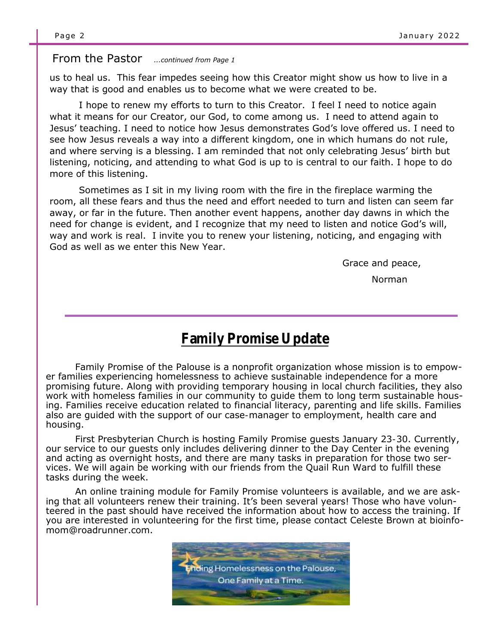#### From the Pastor *...continued from Page 1*

us to heal us. This fear impedes seeing how this Creator might show us how to live in a way that is good and enables us to become what we were created to be.

I hope to renew my efforts to turn to this Creator. I feel I need to notice again what it means for our Creator, our God, to come among us. I need to attend again to Jesus' teaching. I need to notice how Jesus demonstrates God's love offered us. I need to see how Jesus reveals a way into a different kingdom, one in which humans do not rule, and where serving is a blessing. I am reminded that not only celebrating Jesus' birth but listening, noticing, and attending to what God is up to is central to our faith. I hope to do more of this listening.

Sometimes as I sit in my living room with the fire in the fireplace warming the room, all these fears and thus the need and effort needed to turn and listen can seem far away, or far in the future. Then another event happens, another day dawns in which the need for change is evident, and I recognize that my need to listen and notice God's will, way and work is real. I invite you to renew your listening, noticing, and engaging with God as well as we enter this New Year.

Grace and peace,

Norman

#### **Family Promise Update**

Family Promise of the Palouse is a nonprofit organization whose mission is to empower families experiencing homelessness to achieve sustainable independence for a more promising future. Along with providing temporary housing in local church facilities, they also work with homeless families in our community to guide them to long term sustainable housing. Families receive education related to financial literacy, parenting and life skills. Families also are guided with the support of our case-manager to employment, health care and housing.

First Presbyterian Church is hosting Family Promise guests January 23-30. Currently, our service to our guests only includes delivering dinner to the Day Center in the evening and acting as overnight hosts, and there are many tasks in preparation for those two services. We will again be working with our friends from the Quail Run Ward to fulfill these tasks during the week.

An online training module for Family Promise volunteers is available, and we are asking that all volunteers renew their training. It's been several years! Those who have volunteered in the past should have received the information about how to access the training. If you are interested in volunteering for the first time, please contact Celeste Brown at bioinfomom@roadrunner.com.

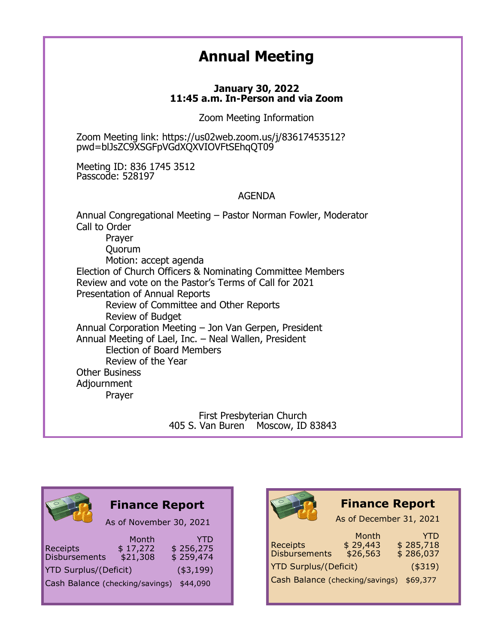#### **Annual Meeting**

#### **January 30, 2022 11:45 a.m. In-Person and via Zoom**

Zoom Meeting Information

Zoom Meeting link: https://us02web.zoom.us/j/83617453512? pwd=blJsZC9XSGFpVGdXQXVIOVFtSEhqQT09

Meeting ID: 836 1745 3512 Passcode: 528197

#### AGENDA

Annual Congregational Meeting – Pastor Norman Fowler, Moderator Call to Order Prayer Quorum Motion: accept agenda Election of Church Officers & Nominating Committee Members Review and vote on the Pastor's Terms of Call for 2021 Presentation of Annual Reports Review of Committee and Other Reports Review of Budget Annual Corporation Meeting – Jon Van Gerpen, President Annual Meeting of Lael, Inc. – Neal Wallen, President Election of Board Members Review of the Year Other Business Adjournment Prayer

> First Presbyterian Church 405 S. Van Buren Moscow, ID 83843



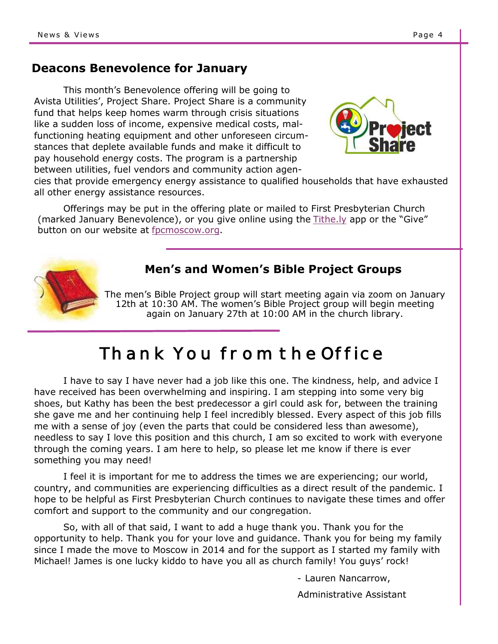#### **Deacons Benevolence for January**

This month's Benevolence offering will be going to Avista Utilities', Project Share. Project Share is a community fund that helps keep homes warm through crisis situations like a sudden loss of income, expensive medical costs, malfunctioning heating equipment and other unforeseen circumstances that deplete available funds and make it difficult to pay household energy costs. The program is a partnership between utilities, fuel vendors and community action agen-



cies that provide emergency energy assistance to qualified households that have exhausted all other energy assistance resources.

Offerings may be put in the offering plate or mailed to First Presbyterian Church (marked January Benevolence), or you give online using the [Tithe.ly](https://tithe.ly/give?c=982246) app or the "Give" button on our website at [fpcmoscow.org.](http://fpcmoscow.org/)



#### **Men's and Women's Bible Project Groups**

The men's Bible Project group will start meeting again via zoom on January 12th at 10:30 AM. The women's Bible Project group will begin meeting again on January 27th at 10:00 AM in the church library.

### Thank You from the Office

I have to say I have never had a job like this one. The kindness, help, and advice I have received has been overwhelming and inspiring. I am stepping into some very big shoes, but Kathy has been the best predecessor a girl could ask for, between the training she gave me and her continuing help I feel incredibly blessed. Every aspect of this job fills me with a sense of joy (even the parts that could be considered less than awesome), needless to say I love this position and this church, I am so excited to work with everyone through the coming years. I am here to help, so please let me know if there is ever something you may need!

I feel it is important for me to address the times we are experiencing; our world, country, and communities are experiencing difficulties as a direct result of the pandemic. I hope to be helpful as First Presbyterian Church continues to navigate these times and offer comfort and support to the community and our congregation.

So, with all of that said, I want to add a huge thank you. Thank you for the opportunity to help. Thank you for your love and guidance. Thank you for being my family since I made the move to Moscow in 2014 and for the support as I started my family with Michael! James is one lucky kiddo to have you all as church family! You guys' rock!

- Lauren Nancarrow,

Administrative Assistant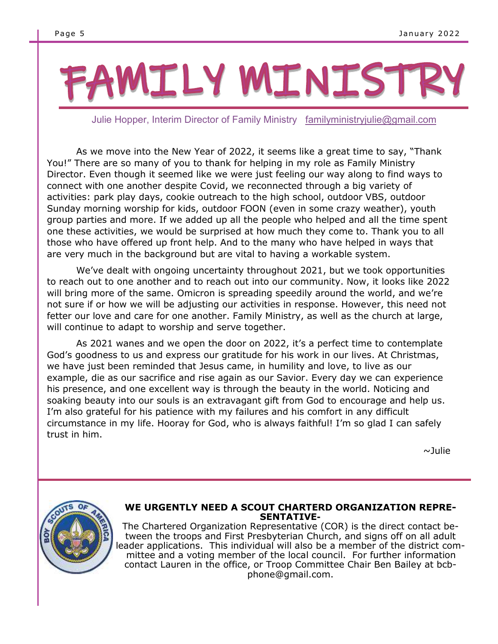# FAMILY MINISTRY

Julie Hopper, Interim Director of Family Ministry [familyministryjulie@gmail.com](mailto:familyministryjulie@gmail.com)

As we move into the New Year of 2022, it seems like a great time to say, "Thank You!" There are so many of you to thank for helping in my role as Family Ministry Director. Even though it seemed like we were just feeling our way along to find ways to connect with one another despite Covid, we reconnected through a big variety of activities: park play days, cookie outreach to the high school, outdoor VBS, outdoor Sunday morning worship for kids, outdoor FOON (even in some crazy weather), youth group parties and more. If we added up all the people who helped and all the time spent one these activities, we would be surprised at how much they come to. Thank you to all those who have offered up front help. And to the many who have helped in ways that are very much in the background but are vital to having a workable system.

We've dealt with ongoing uncertainty throughout 2021, but we took opportunities to reach out to one another and to reach out into our community. Now, it looks like 2022 will bring more of the same. Omicron is spreading speedily around the world, and we're not sure if or how we will be adjusting our activities in response. However, this need not fetter our love and care for one another. Family Ministry, as well as the church at large, will continue to adapt to worship and serve together.

As 2021 wanes and we open the door on 2022, it's a perfect time to contemplate God's goodness to us and express our gratitude for his work in our lives. At Christmas, we have just been reminded that Jesus came, in humility and love, to live as our example, die as our sacrifice and rise again as our Savior. Every day we can experience his presence, and one excellent way is through the beauty in the world. Noticing and soaking beauty into our souls is an extravagant gift from God to encourage and help us. I'm also grateful for his patience with my failures and his comfort in any difficult circumstance in my life. Hooray for God, who is always faithful! I'm so glad I can safely trust in him.

 $\sim$ Julie



#### **WE URGENTLY NEED A SCOUT CHARTERD ORGANIZATION REPRE-SENTATIVE-**

The Chartered Organization Representative (COR) is the direct contact between the troops and First Presbyterian Church, and signs off on all adult leader applications. This individual will also be a member of the district committee and a voting member of the local council. For further information contact Lauren in the office, or Troop Committee Chair Ben Bailey at bcbphone@gmail.com.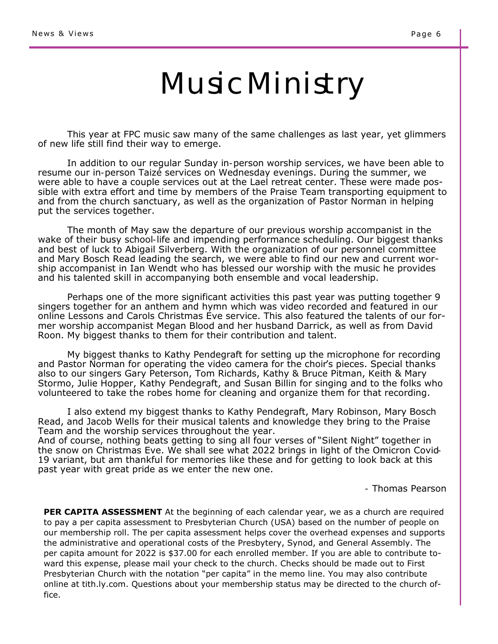## Music Ministry

This year at FPC music saw many of the same challenges as last year, yet glimmers of new life still find their way to emerge.

In addition to our regular Sunday in-person worship services, we have been able to resume our in-person Taizé services on Wednesday evenings. During the summer, we were able to have a couple services out at the Lael retreat center. These were made possible with extra effort and time by members of the Praise Team transporting equipment to and from the church sanctuary, as well as the organization of Pastor Norman in helping put the services together.

The month of May saw the departure of our previous worship accompanist in the wake of their busy school-life and impending performance scheduling. Our biggest thanks and best of luck to Abigail Silverberg. With the organization of our personnel committee and Mary Bosch Read leading the search, we were able to find our new and current worship accompanist in Ian Wendt who has blessed our worship with the music he provides and his talented skill in accompanying both ensemble and vocal leadership.

Perhaps one of the more significant activities this past year was putting together 9 singers together for an anthem and hymn which was video recorded and featured in our online Lessons and Carols Christmas Eve service. This also featured the talents of our former worship accompanist Megan Blood and her husband Darrick, as well as from David Roon. My biggest thanks to them for their contribution and talent.

My biggest thanks to Kathy Pendegraft for setting up the microphone for recording and Pastor Norman for operating the video camera for the choir's pieces. Special thanks also to our singers Gary Peterson, Tom Richards, Kathy & Bruce Pitman, Keith & Mary Stormo, Julie Hopper, Kathy Pendegraft, and Susan Billin for singing and to the folks who volunteered to take the robes home for cleaning and organize them for that recording.

I also extend my biggest thanks to Kathy Pendegraft, Mary Robinson, Mary Bosch Read, and Jacob Wells for their musical talents and knowledge they bring to the Praise Team and the worship services throughout the year.

And of course, nothing beats getting to sing all four verses of "Silent Night" together in the snow on Christmas Eve. We shall see what 2022 brings in light of the Omicron Covid-19 variant, but am thankful for memories like these and for getting to look back at this past year with great pride as we enter the new one.

- Thomas Pearson

**PER CAPITA ASSESSMENT** At the beginning of each calendar year, we as a church are required to pay a per capita assessment to Presbyterian Church (USA) based on the number of people on our membership roll. The per capita assessment helps cover the overhead expenses and supports the administrative and operational costs of the Presbytery, Synod, and General Assembly. The per capita amount for 2022 is \$37.00 for each enrolled member. If you are able to contribute toward this expense, please mail your check to the church. Checks should be made out to First Presbyterian Church with the notation "per capita" in the memo line. You may also contribute online at tith.ly.com. Questions about your membership status may be directed to the church office.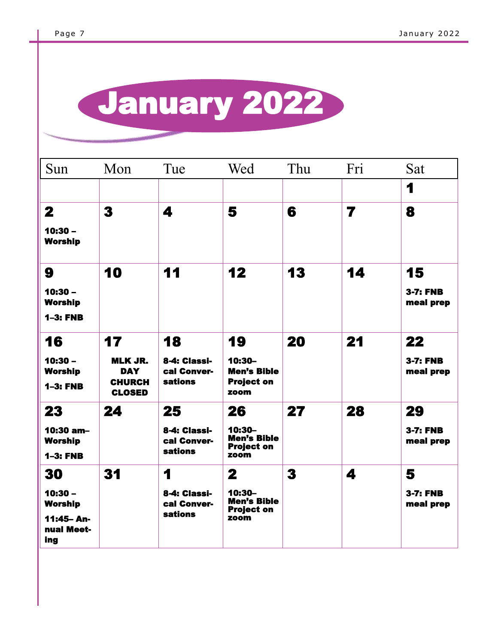## $\overline{a}$ January 2022

| Sun                                            | Mon                                                            | Tue                                           | Wed                                                       | Thu       | Fri | Sat                          |
|------------------------------------------------|----------------------------------------------------------------|-----------------------------------------------|-----------------------------------------------------------|-----------|-----|------------------------------|
|                                                |                                                                |                                               |                                                           |           |     | 1                            |
| $\mathbf{2}$                                   | 3                                                              | 4                                             | 5                                                         | 6         | 7   | 8                            |
| $10:30 -$<br><b>Worship</b>                    |                                                                |                                               |                                                           |           |     |                              |
| 9                                              | 10                                                             | 11                                            | 12                                                        | 13        | 14  | 15                           |
| $10:30 -$<br><b>Worship</b><br><b>1-3: FNB</b> |                                                                |                                               |                                                           |           |     | <b>3-7: FNB</b><br>meal prep |
|                                                |                                                                |                                               |                                                           |           |     |                              |
| 16                                             | 17                                                             | 18                                            | 19                                                        | <b>20</b> | 21  | 22                           |
| $10:30 -$<br><b>Worship</b><br><b>1-3: FNB</b> | <b>MLK JR.</b><br><b>DAY</b><br><b>CHURCH</b><br><b>CLOSED</b> | 8-4: Classi-<br>cal Conver-<br><b>sations</b> | 10:30-<br><b>Men's Bible</b><br><b>Project on</b><br>zoom |           |     | <b>3-7: FNB</b><br>meal prep |
| 23                                             | 24                                                             | 25                                            | 26                                                        | 27        | 28  | 29                           |
| $10:30$ am-<br><b>Worship</b>                  |                                                                | 8-4: Classi-<br>cal Conver-<br><b>sations</b> | 10:30-<br><b>Men's Bible</b><br><b>Project on</b>         |           |     | <b>3-7: FNB</b><br>meal prep |
| $1-3: FNB$                                     |                                                                |                                               | zoom                                                      |           |     |                              |
| 30                                             | 31                                                             | 1                                             | 2                                                         | 3         | 4   | 5                            |
| $10:30 -$<br><b>Worship</b>                    |                                                                | 8-4: Classi-<br>cal Conver-                   | $10:30-$<br><b>Men's Bible</b><br><b>Project on</b>       |           |     | <b>3-7: FNB</b><br>meal prep |
| 11:45-An-<br>nual Meet-<br>ing                 |                                                                | <b>sations</b>                                | zoom                                                      |           |     |                              |